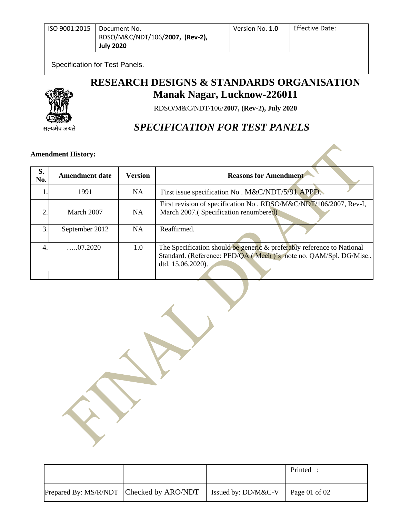| ISO 9001:2015   Document No. |                                 | Version No. 1.0 | <b>Effective Date:</b> |
|------------------------------|---------------------------------|-----------------|------------------------|
|                              | RDSO/M&C/NDT/106/2007, (Rev-2), |                 |                        |
|                              | <b>July 2020</b>                |                 |                        |

Specification for Test Panels.

सत्यमेव जयते

# **RESEARCH DESIGNS & STANDARDS ORGANISATION Manak Nagar, Lucknow-226011**

RDSO/M&C/NDT/106/**2007, (Rev-2), July 2020**

## *SPECIFICATION FOR TEST PANELS*

## **Amendment History:**

| S.<br>No. | <b>Amendment date</b> | <b>Version</b> | <b>Reasons for Amendment</b>                                                                                                                                     |  |
|-----------|-----------------------|----------------|------------------------------------------------------------------------------------------------------------------------------------------------------------------|--|
|           | 1991                  | NA.            | First issue specification No. M&C/NDT/5/91 APPD.                                                                                                                 |  |
| ↑         | March 2007            | NA             | First revision of specification No. RDSO/M&C/NDT/106/2007, Rev-I,<br>March 2007.(Specification renumbered)                                                       |  |
| 3         | September 2012        | NA             | Reaffirmed.                                                                                                                                                      |  |
|           | $\dots 07.2020$       | 1.0            | The Specification should be generic & preferably reference to National<br>Standard. (Reference: PED/QA (Mech)'s note no. QAM/Spl. DG/Misc.,<br>dtd. 15.06.2020). |  |

|                                          |                                           | Printed |
|------------------------------------------|-------------------------------------------|---------|
| Prepared By: MS/R/NDT Checked by ARO/NDT | Simularly: DD/M&C-V $\vert$ Page 01 of 02 |         |